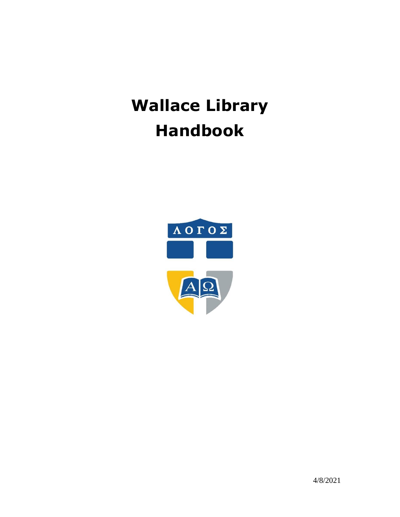# **Wallace Library Handbook**

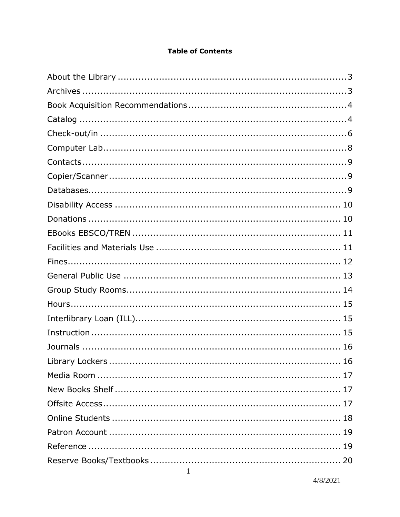#### **Table of Contents**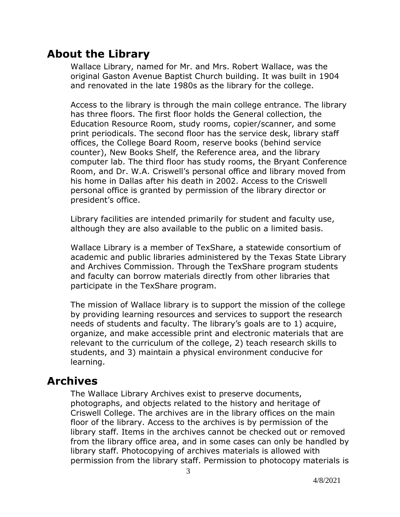# **About the Library**

Wallace Library, named for Mr. and Mrs. Robert Wallace, was the original Gaston Avenue Baptist Church building. It was built in 1904 and renovated in the late 1980s as the library for the college.

Access to the library is through the main college entrance. The library has three floors. The first floor holds the General collection, the Education Resource Room, study rooms, copier/scanner, and some print periodicals. The second floor has the service desk, library staff offices, the College Board Room, reserve books (behind service counter), New Books Shelf, the Reference area, and the library computer lab. The third floor has study rooms, the Bryant Conference Room, and Dr. W.A. Criswell's personal office and library moved from his home in Dallas after his death in 2002. Access to the Criswell personal office is granted by permission of the library director or president's office.

Library facilities are intended primarily for student and faculty use, although they are also available to the public on a limited basis.

Wallace Library is a member of TexShare, a statewide consortium of academic and public libraries administered by the Texas State Library and Archives Commission. Through the TexShare program students and faculty can borrow materials directly from other libraries that participate in the TexShare program.

The mission of Wallace library is to support the mission of the college by providing learning resources and services to support the research needs of students and faculty. The library's goals are to 1) acquire, organize, and make accessible print and electronic materials that are relevant to the curriculum of the college, 2) teach research skills to students, and 3) maintain a physical environment conducive for learning.

# **Archives**

The Wallace Library Archives exist to preserve documents, photographs, and objects related to the history and heritage of Criswell College. The archives are in the library offices on the main floor of the library. Access to the archives is by permission of the library staff. Items in the archives cannot be checked out or removed from the library office area, and in some cases can only be handled by library staff. Photocopying of archives materials is allowed with permission from the library staff. Permission to photocopy materials is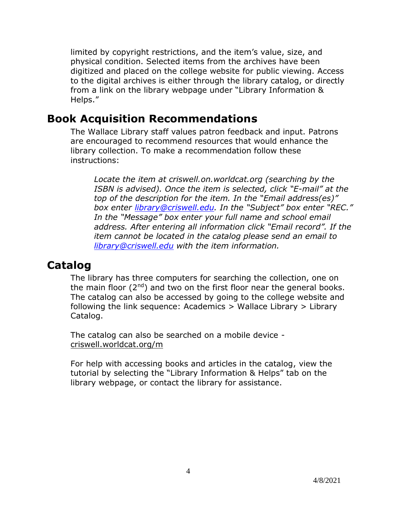limited by copyright restrictions, and the item's value, size, and physical condition. Selected items from the archives have been digitized and placed on the college website for public viewing. Access to the digital archives is either through the library catalog, or directly from a link on the library webpage under "Library Information & Helps."

# **Book Acquisition Recommendations**

The Wallace Library staff values patron feedback and input. Patrons are encouraged to recommend resources that would enhance the library collection. To make a recommendation follow these instructions:

*Locate the item at criswell.on.worldcat.org (searching by the ISBN is advised). Once the item is selected, click "E-mail" at the top of the description for the item. In the "Email address(es)" box enter [library@criswell.edu.](mailto:library@criswell.edu) In the "Subject" box enter "REC." In the "Message" box enter your full name and school email address. After entering all information click "Email record". If the item cannot be located in the catalog please send an email to [library@criswell.edu](mailto:library@criswell.edu) with the item information.*

# **Catalog**

The library has three computers for searching the collection, one on the main floor  $(2^{nd})$  and two on the first floor near the general books. The catalog can also be accessed by going to the college website and following the link sequence: Academics > Wallace Library > Library Catalog.

The catalog can also be searched on a mobile device criswell.worldcat.org/m

For help with accessing books and articles in the catalog, view the tutorial by selecting the "Library Information & Helps" tab on the library webpage, or contact the library for assistance.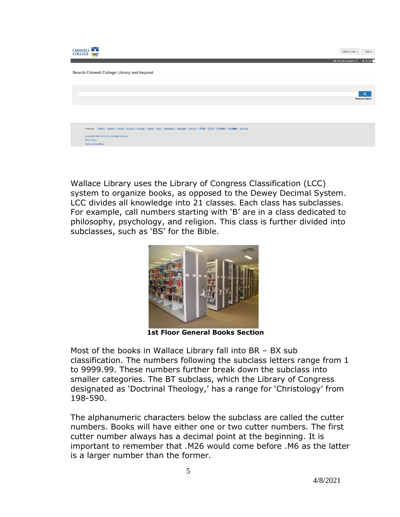| <b>CRISWELL</b><br>COLLEGE (AA)                                                                                                                          | Sign In<br>Library Links -           |
|----------------------------------------------------------------------------------------------------------------------------------------------------------|--------------------------------------|
|                                                                                                                                                          | * MyList<br>Chat with a librarian L' |
| Search Criswell College Library and beyond.                                                                                                              |                                      |
|                                                                                                                                                          |                                      |
|                                                                                                                                                          | $\alpha$<br><b>Advanced Search</b>   |
|                                                                                                                                                          |                                      |
|                                                                                                                                                          |                                      |
| Language: Cešina · Deutsch · English · Español · Français · Italiano · Mãori · Nederlands · Português · Svenska · 日本語 · 한국어 · 中文(開催) · 中文(開催) · mtrilvio |                                      |
| Copyright @ 2001-2016 OCLC All rights reserved.<br>Privacy Policy                                                                                        |                                      |
| Terms and Conditions                                                                                                                                     |                                      |

Wallace Library uses the Library of Congress Classification (LCC) system to organize books, as opposed to the Dewey Decimal System. LCC divides all knowledge into 21 classes. Each class has subclasses. For example, call numbers starting with 'B' are in a class dedicated to philosophy, psychology, and religion. This class is further divided into subclasses, such as 'BS' for the Bible.



 **1st Floor General Books Section**

Most of the books in Wallace Library fall into BR – BX sub classification. The numbers following the subclass letters range from 1 to 9999.99. These numbers further break down the subclass into smaller categories. The BT subclass, which the Library of Congress designated as 'Doctrinal Theology,' has a range for 'Christology' from 198-590.

The alphanumeric characters below the subclass are called the cutter numbers. Books will have either one or two cutter numbers. The first cutter number always has a decimal point at the beginning. It is important to remember that .M26 would come before .M6 as the latter is a larger number than the former.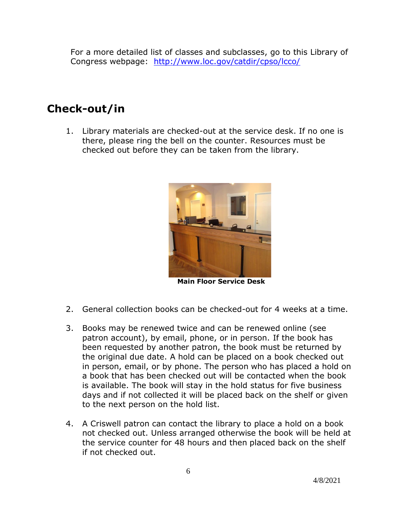For a more detailed list of classes and subclasses, go to this Library of Congress webpage: <http://www.loc.gov/catdir/cpso/lcco/>

# **Check-out/in**

1. Library materials are checked-out at the service desk. If no one is there, please ring the bell on the counter. Resources must be checked out before they can be taken from the library.



 **Main Floor Service Desk**

- 2. General collection books can be checked-out for 4 weeks at a time.
- 3. Books may be renewed twice and can be renewed online (see patron account), by email, phone, or in person. If the book has been requested by another patron, the book must be returned by the original due date. A hold can be placed on a book checked out in person, email, or by phone. The person who has placed a hold on a book that has been checked out will be contacted when the book is available. The book will stay in the hold status for five business days and if not collected it will be placed back on the shelf or given to the next person on the hold list.
- 4. A Criswell patron can contact the library to place a hold on a book not checked out. Unless arranged otherwise the book will be held at the service counter for 48 hours and then placed back on the shelf if not checked out.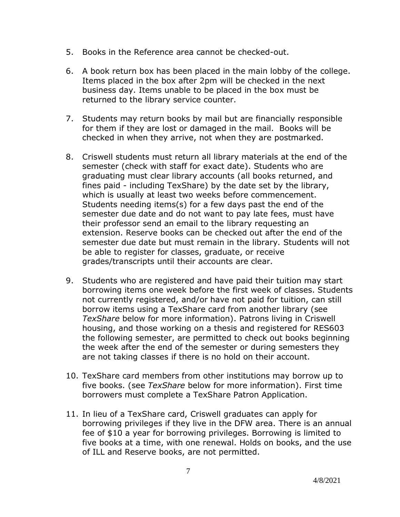- 5. Books in the Reference area cannot be checked-out.
- 6. A book return box has been placed in the main lobby of the college. Items placed in the box after 2pm will be checked in the next business day. Items unable to be placed in the box must be returned to the library service counter.
- 7. Students may return books by mail but are financially responsible for them if they are lost or damaged in the mail. Books will be checked in when they arrive, not when they are postmarked.
- 8. Criswell students must return all library materials at the end of the semester (check with staff for exact date). Students who are graduating must clear library accounts (all books returned, and fines paid - including TexShare) by the date set by the library, which is usually at least two weeks before commencement. Students needing items(s) for a few days past the end of the semester due date and do not want to pay late fees, must have their professor send an email to the library requesting an extension. Reserve books can be checked out after the end of the semester due date but must remain in the library. Students will not be able to register for classes, graduate, or receive grades/transcripts until their accounts are clear.
- 9. Students who are registered and have paid their tuition may start borrowing items one week before the first week of classes. Students not currently registered, and/or have not paid for tuition, can still borrow items using a TexShare card from another library (see *TexShare* below for more information). Patrons living in Criswell housing, and those working on a thesis and registered for RES603 the following semester, are permitted to check out books beginning the week after the end of the semester or during semesters they are not taking classes if there is no hold on their account.
- 10. TexShare card members from other institutions may borrow up to five books. (see *TexShare* below for more information). First time borrowers must complete a TexShare Patron Application.
- 11. In lieu of a TexShare card, Criswell graduates can apply for borrowing privileges if they live in the DFW area. There is an annual fee of \$10 a year for borrowing privileges. Borrowing is limited to five books at a time, with one renewal. Holds on books, and the use of ILL and Reserve books, are not permitted.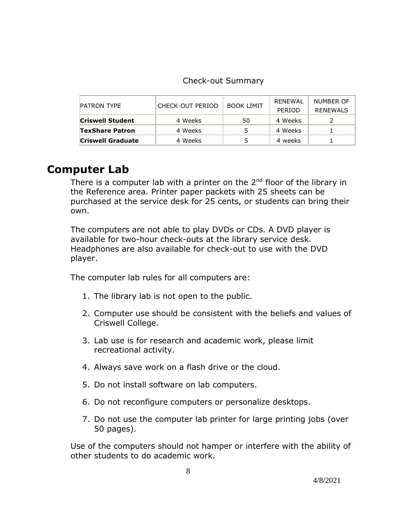| <b>PATRON TYPE</b>       | CHECK-OUT PERIOD | <b>BOOK LIMIT</b> | RENEWAL<br><b>PERIOD</b> | NUMBER OF<br><b>RENEWALS</b> |
|--------------------------|------------------|-------------------|--------------------------|------------------------------|
| <b>Criswell Student</b>  | 4 Weeks          | 50                | 4 Weeks                  |                              |
| <b>TexShare Patron</b>   | 4 Weeks          |                   | 4 Weeks                  |                              |
| <b>Criswell Graduate</b> | 4 Weeks          |                   | 4 weeks                  |                              |

# **Computer Lab**

There is a computer lab with a printer on the 2<sup>nd</sup> floor of the library in the Reference area. Printer paper packets with 25 sheets can be purchased at the service desk for 25 cents, or students can bring their own.

The computers are not able to play DVDs or CDs. A DVD player is available for two-hour check-outs at the library service desk. Headphones are also available for check-out to use with the DVD player.

The computer lab rules for all computers are:

- 1. The library lab is not open to the public.
- 2. Computer use should be consistent with the beliefs and values of Criswell College.
- 3. Lab use is for research and academic work, please limit recreational activity.
- 4. Always save work on a flash drive or the cloud.
- 5. Do not install software on lab computers.
- 6. Do not reconfigure computers or personalize desktops.
- 7. Do not use the computer lab printer for large printing jobs (over 50 pages).

Use of the computers should not hamper or interfere with the ability of other students to do academic work.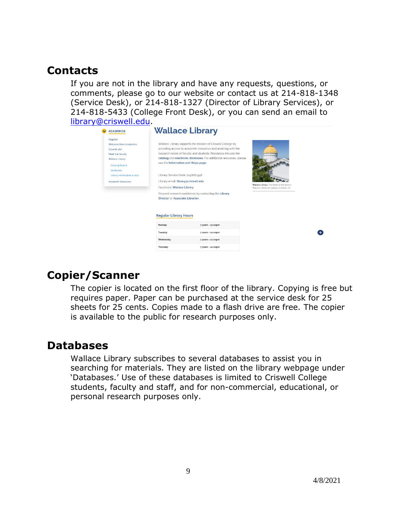### **Contacts**

If you are not in the library and have any requests, questions, or comments, please go to our website or contact us at 214-818-1348 (Service Desk), or 214-818-1327 (Director of Library Services), or 214-818-5433 (College Front Desk), or you can send an email to [library@criswell.edu.](mailto:library@criswell.edu)

| <b>ACADEMICS</b>                                                                                                                                                                           |                                                                                                                                                                                   | <b>Wallace Library</b>                                                                                                                                                                                                                                                                                                       |                                                                                      |  |  |  |  |
|--------------------------------------------------------------------------------------------------------------------------------------------------------------------------------------------|-----------------------------------------------------------------------------------------------------------------------------------------------------------------------------------|------------------------------------------------------------------------------------------------------------------------------------------------------------------------------------------------------------------------------------------------------------------------------------------------------------------------------|--------------------------------------------------------------------------------------|--|--|--|--|
| Degrees<br>Welcome from Academics<br>Criswell 360°<br>Meet the Faculty<br>Wallace Library<br><b>Catalog Search</b><br><b>Databases</b><br>Library Information & Help<br>Academic Resources | see the Information and Helps page.<br>Library Service Desk: 214.818.1348<br>Library email: library@criswell.edu<br>Facebook: Wallace Library<br>Director or Associate Librarian. | Wallace Library supports the mission of Criswell College by<br>providing access to academic resources and assisting with the<br>research needs of faculty and students. Resources include the<br>catalog and electronic databases. For additional resources, please<br>Request research assistance by contacting the Library | Wallace Library The dome of the historic<br>Wallace Library on campus in Dallas, TX. |  |  |  |  |
|                                                                                                                                                                                            | <b>Regular Library Hours</b><br>Monday                                                                                                                                            | 7:30am - 10:00pm                                                                                                                                                                                                                                                                                                             |                                                                                      |  |  |  |  |
|                                                                                                                                                                                            | Tuesday                                                                                                                                                                           | 7:30am - 10:00pm                                                                                                                                                                                                                                                                                                             |                                                                                      |  |  |  |  |
|                                                                                                                                                                                            | Wednesday                                                                                                                                                                         | 7:30am - 10:00pm                                                                                                                                                                                                                                                                                                             |                                                                                      |  |  |  |  |
|                                                                                                                                                                                            |                                                                                                                                                                                   |                                                                                                                                                                                                                                                                                                                              |                                                                                      |  |  |  |  |

# **Copier/Scanner**

The copier is located on the first floor of the library. Copying is free but requires paper. Paper can be purchased at the service desk for 25 sheets for 25 cents. Copies made to a flash drive are free. The copier is available to the public for research purposes only.

### **Databases**

Wallace Library subscribes to several databases to assist you in searching for materials. They are listed on the library webpage under 'Databases.' Use of these databases is limited to Criswell College students, faculty and staff, and for non-commercial, educational, or personal research purposes only.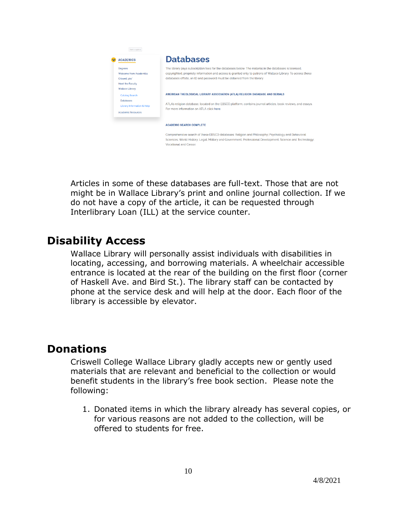

Articles in some of these databases are full-text. Those that are not might be in Wallace Library's print and online journal collection. If we do not have a copy of the article, it can be requested through Interlibrary Loan (ILL) at the service counter.

# **Disability Access**

Wallace Library will personally assist individuals with disabilities in locating, accessing, and borrowing materials. A wheelchair accessible entrance is located at the rear of the building on the first floor (corner of Haskell Ave. and Bird St.). The library staff can be contacted by phone at the service desk and will help at the door. Each floor of the library is accessible by elevator.

# **Donations**

Criswell College Wallace Library gladly accepts new or gently used materials that are relevant and beneficial to the collection or would benefit students in the library's free book section. Please note the following:

1. Donated items in which the library already has several copies, or for various reasons are not added to the collection, will be offered to students for free.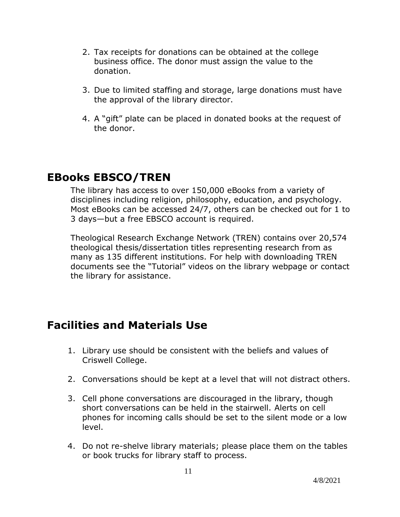- 2. Tax receipts for donations can be obtained at the college business office. The donor must assign the value to the donation.
- 3. Due to limited staffing and storage, large donations must have the approval of the library director.
- 4. A "gift" plate can be placed in donated books at the request of the donor.

# **EBooks EBSCO/TREN**

The library has access to over 150,000 eBooks from a variety of disciplines including religion, philosophy, education, and psychology. Most eBooks can be accessed 24/7, others can be checked out for 1 to 3 days—but a free EBSCO account is required.

Theological Research Exchange Network (TREN) contains over 20,574 theological thesis/dissertation titles representing research from as many as 135 different institutions. For help with downloading TREN documents see the "Tutorial" videos on the library webpage or contact the library for assistance.

# **Facilities and Materials Use**

- 1. Library use should be consistent with the beliefs and values of Criswell College.
- 2. Conversations should be kept at a level that will not distract others.
- 3. Cell phone conversations are discouraged in the library, though short conversations can be held in the stairwell. Alerts on cell phones for incoming calls should be set to the silent mode or a low level.
- 4. Do not re-shelve library materials; please place them on the tables or book trucks for library staff to process.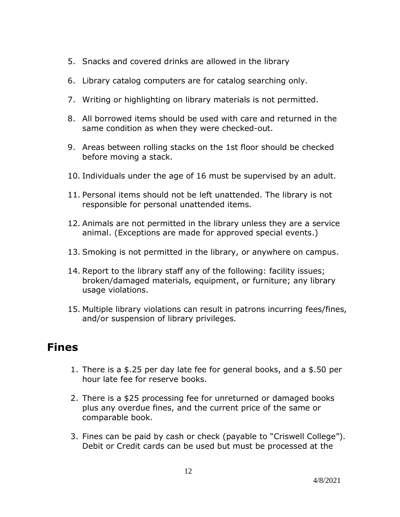- 5. Snacks and covered drinks are allowed in the library
- 6. Library catalog computers are for catalog searching only.
- 7. Writing or highlighting on library materials is not permitted.
- 8. All borrowed items should be used with care and returned in the same condition as when they were checked-out.
- 9. Areas between rolling stacks on the 1st floor should be checked before moving a stack.
- 10. Individuals under the age of 16 must be supervised by an adult.
- 11. Personal items should not be left unattended. The library is not responsible for personal unattended items.
- 12. Animals are not permitted in the library unless they are a service animal. (Exceptions are made for approved special events.)
- 13. Smoking is not permitted in the library, or anywhere on campus.
- 14. Report to the library staff any of the following: facility issues; broken/damaged materials, equipment, or furniture; any library usage violations.
- 15. Multiple library violations can result in patrons incurring fees/fines, and/or suspension of library privileges.

# **Fines**

- 1. There is a \$.25 per day late fee for general books, and a \$.50 per hour late fee for reserve books.
- 2. There is a \$25 processing fee for unreturned or damaged books plus any overdue fines, and the current price of the same or comparable book.
- 3. Fines can be paid by cash or check (payable to "Criswell College"). Debit or Credit cards can be used but must be processed at the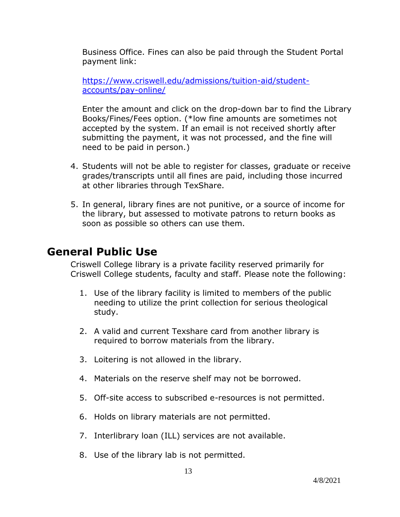Business Office. Fines can also be paid through the Student Portal payment link:

[https://www.criswell.edu/admissions/tuition-aid/student](https://www.criswell.edu/admissions/tuition-aid/student-accounts/pay-online/)[accounts/pay-online/](https://www.criswell.edu/admissions/tuition-aid/student-accounts/pay-online/)

Enter the amount and click on the drop-down bar to find the Library Books/Fines/Fees option. (\*low fine amounts are sometimes not accepted by the system. If an email is not received shortly after submitting the payment, it was not processed, and the fine will need to be paid in person.)

- 4. Students will not be able to register for classes, graduate or receive grades/transcripts until all fines are paid, including those incurred at other libraries through TexShare.
- 5. In general, library fines are not punitive, or a source of income for the library, but assessed to motivate patrons to return books as soon as possible so others can use them.

# **General Public Use**

Criswell College library is a private facility reserved primarily for Criswell College students, faculty and staff. Please note the following:

- 1. Use of the library facility is limited to members of the public needing to utilize the print collection for serious theological study.
- 2. A valid and current Texshare card from another library is required to borrow materials from the library.
- 3. Loitering is not allowed in the library.
- 4. Materials on the reserve shelf may not be borrowed.
- 5. Off-site access to subscribed e-resources is not permitted.
- 6. Holds on library materials are not permitted.
- 7. Interlibrary loan (ILL) services are not available.
- 8. Use of the library lab is not permitted.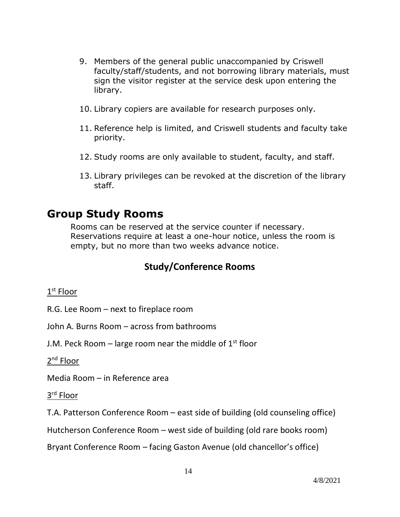- 9. Members of the general public unaccompanied by Criswell faculty/staff/students, and not borrowing library materials, must sign the visitor register at the service desk upon entering the library.
- 10. Library copiers are available for research purposes only.
- 11. Reference help is limited, and Criswell students and faculty take priority.
- 12. Study rooms are only available to student, faculty, and staff.
- 13. Library privileges can be revoked at the discretion of the library staff.

# **Group Study Rooms**

Rooms can be reserved at the service counter if necessary. Reservations require at least a one-hour notice, unless the room is empty, but no more than two weeks advance notice.

### **Study/Conference Rooms**

#### $1^{\text{st}}$  Floor

R.G. Lee Room – next to fireplace room

John A. Burns Room – across from bathrooms

J.M. Peck Room – large room near the middle of  $1<sup>st</sup>$  floor

2<sup>nd</sup> Floor

Media Room – in Reference area

3 rd Floor

T.A. Patterson Conference Room – east side of building (old counseling office)

Hutcherson Conference Room – west side of building (old rare books room)

Bryant Conference Room – facing Gaston Avenue (old chancellor's office)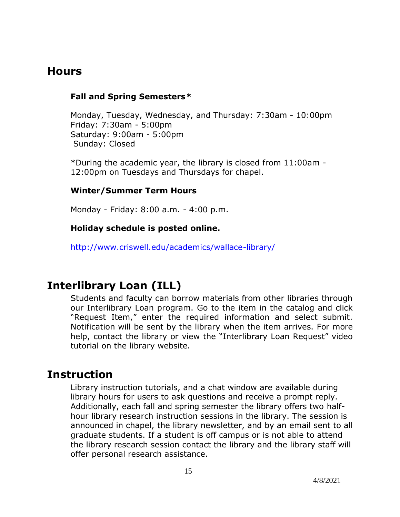# **Hours**

#### **Fall and Spring Semesters***\**

Monday, Tuesday, Wednesday, and Thursday: 7:30am - 10:00pm Friday: 7:30am - 5:00pm Saturday: 9:00am - 5:00pm Sunday: Closed

\*During the academic year, the library is closed from 11:00am - 12:00pm on Tuesdays and Thursdays for chapel.

#### **Winter/Summer Term Hours**

Monday - Friday: 8:00 a.m. - 4:00 p.m.

#### **Holiday schedule is posted online.**

<http://www.criswell.edu/academics/wallace-library/>

# **Interlibrary Loan (ILL)**

Students and faculty can borrow materials from other libraries through our Interlibrary Loan program. Go to the item in the catalog and click "Request Item," enter the required information and select submit. Notification will be sent by the library when the item arrives. For more help, contact the library or view the "Interlibrary Loan Request" video tutorial on the library website.

### **Instruction**

Library instruction tutorials, and a chat window are available during library hours for users to ask questions and receive a prompt reply. Additionally, each fall and spring semester the library offers two halfhour library research instruction sessions in the library. The session is announced in chapel, the library newsletter, and by an email sent to all graduate students. If a student is off campus or is not able to attend the library research session contact the library and the library staff will offer personal research assistance.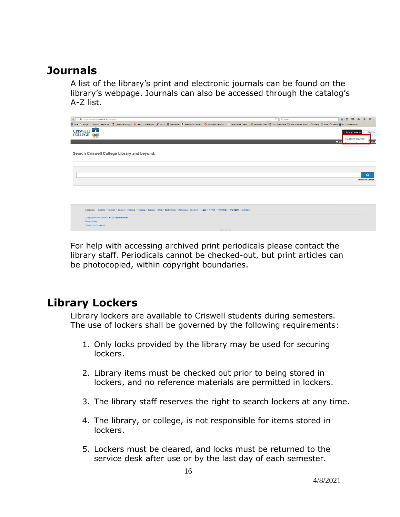# **Journals**

A list of the library's print and electronic journals can be found on the library's webpage. Journals can also be accessed through the catalog's A-Z list.

|                                   | ← 3 A https://cranel.on.worldcat.org/decovery   |                                                                                                                                                 |  |  |  | C Q search                                                                                                                                                                                                              |              | 合向<br>$\circ$                             | $\mathbf{L}$           | $\bullet$ |
|-----------------------------------|-------------------------------------------------|-------------------------------------------------------------------------------------------------------------------------------------------------|--|--|--|-------------------------------------------------------------------------------------------------------------------------------------------------------------------------------------------------------------------------|--------------|-------------------------------------------|------------------------|-----------|
| C Home G Google                   |                                                 |                                                                                                                                                 |  |  |  | Paycon   Payrol & H. C. QuestionPoint Logon @ Dalles, TX Interective. 7" TuDOT # Albert Holder @ anson.com Online S. @ Associated Baptist Pr   L. Baptist Press - News  La Bleckboard Learn @ OCLC WorldShare 5) Search |              |                                           |                        |           |
| <b>CRISWELL</b><br><b>COLLEGE</b> | <b>AR</b>                                       |                                                                                                                                                 |  |  |  |                                                                                                                                                                                                                         |              | Library Links v<br>A-Z List for ejournals |                        | Sign In   |
|                                   |                                                 |                                                                                                                                                 |  |  |  |                                                                                                                                                                                                                         | $\bullet$ Ch |                                           |                        |           |
|                                   |                                                 | Search Criswell College Library and beyond.                                                                                                     |  |  |  |                                                                                                                                                                                                                         |              |                                           |                        |           |
|                                   |                                                 |                                                                                                                                                 |  |  |  |                                                                                                                                                                                                                         |              |                                           |                        |           |
|                                   |                                                 |                                                                                                                                                 |  |  |  |                                                                                                                                                                                                                         |              |                                           |                        |           |
|                                   |                                                 |                                                                                                                                                 |  |  |  |                                                                                                                                                                                                                         |              |                                           |                        | Q         |
|                                   |                                                 |                                                                                                                                                 |  |  |  |                                                                                                                                                                                                                         |              |                                           | <b>Advanced Search</b> |           |
|                                   |                                                 |                                                                                                                                                 |  |  |  |                                                                                                                                                                                                                         |              |                                           |                        |           |
|                                   |                                                 |                                                                                                                                                 |  |  |  |                                                                                                                                                                                                                         |              |                                           |                        |           |
|                                   |                                                 |                                                                                                                                                 |  |  |  |                                                                                                                                                                                                                         |              |                                           |                        |           |
|                                   | Language:                                       | Ceština · Deutsch · English · Español · Francais · Italiano · Mãori · Nederlands · Português · Svenska · 日本語 · 한국어 · 中文(管体) · 中文(管理) · prenting |  |  |  |                                                                                                                                                                                                                         |              |                                           |                        |           |
|                                   | Copyright @ 2001-2016 OCLC.All rights reserved. |                                                                                                                                                 |  |  |  |                                                                                                                                                                                                                         |              |                                           |                        |           |
|                                   | Privacy Policy<br>Terms and Conditions          |                                                                                                                                                 |  |  |  |                                                                                                                                                                                                                         |              |                                           |                        |           |

For help with accessing archived print periodicals please contact the library staff. Periodicals cannot be checked-out, but print articles can be photocopied, within copyright boundaries.

# **Library Lockers**

Library lockers are available to Criswell students during semesters. The use of lockers shall be governed by the following requirements:

- 1. Only locks provided by the library may be used for securing lockers.
- 2. Library items must be checked out prior to being stored in lockers, and no reference materials are permitted in lockers.
- 3. The library staff reserves the right to search lockers at any time.
- 4. The library, or college, is not responsible for items stored in lockers.
- 5. Lockers must be cleared, and locks must be returned to the service desk after use or by the last day of each semester.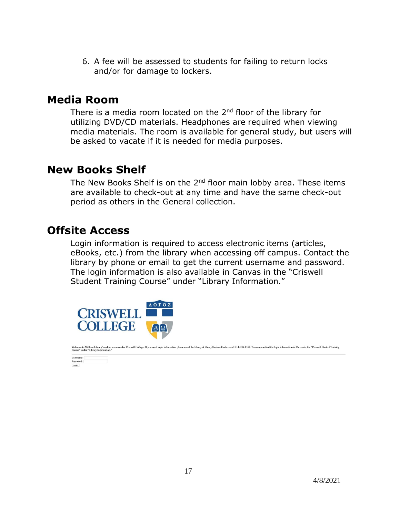6. A fee will be assessed to students for failing to return locks and/or for damage to lockers.

### **Media Room**

There is a media room located on the 2<sup>nd</sup> floor of the library for utilizing DVD/CD materials. Headphones are required when viewing media materials. The room is available for general study, but users will be asked to vacate if it is needed for media purposes.

# **New Books Shelf**

The New Books Shelf is on the 2<sup>nd</sup> floor main lobby area. These items are available to check-out at any time and have the same check-out period as others in the General collection.

# **Offsite Access**

Login information is required to access electronic items (articles, eBooks, etc.) from the library when accessing off campus. Contact the library by phone or email to get the current username and password. The login information is also available in Canvas in the "Criswell Student Training Course" under "Library Information."



ne to Wallace Library's online resources for Criswell College. If you need login information please email the library at library@criswell.edu or call 214-818-1348. You can also find the login information in Canvas in the "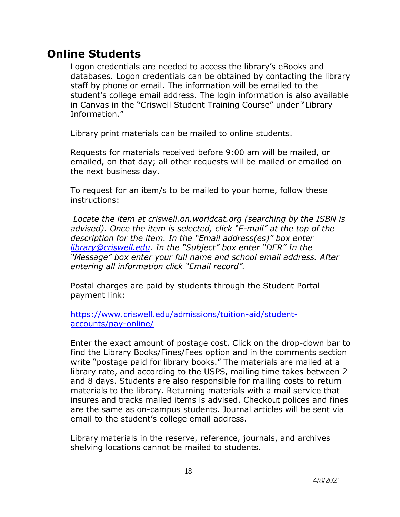# **Online Students**

Logon credentials are needed to access the library's eBooks and databases. Logon credentials can be obtained by contacting the library staff by phone or email. The information will be emailed to the student's college email address. The login information is also available in Canvas in the "Criswell Student Training Course" under "Library Information."

Library print materials can be mailed to online students.

Requests for materials received before 9:00 am will be mailed, or emailed, on that day; all other requests will be mailed or emailed on the next business day.

To request for an item/s to be mailed to your home, follow these instructions:

*Locate the item at criswell.on.worldcat.org (searching by the ISBN is advised). Once the item is selected, click "E-mail" at the top of the description for the item. In the "Email address(es)" box enter [library@criswell.edu](mailto:library@criswell.edu). In the "Subject" box enter "DER" In the "Message" box enter your full name and school email address. After entering all information click "Email record".* 

Postal charges are paid by students through the Student Portal payment link:

[https://www.criswell.edu/admissions/tuition-aid/student](https://www.criswell.edu/admissions/tuition-aid/student-accounts/pay-online/)[accounts/pay-online/](https://www.criswell.edu/admissions/tuition-aid/student-accounts/pay-online/)

Enter the exact amount of postage cost. Click on the drop-down bar to find the Library Books/Fines/Fees option and in the comments section write "postage paid for library books." The materials are mailed at a library rate, and according to the USPS, mailing time takes between 2 and 8 days. Students are also responsible for mailing costs to return materials to the library. Returning materials with a mail service that insures and tracks mailed items is advised. Checkout polices and fines are the same as on-campus students. Journal articles will be sent via email to the student's college email address.

Library materials in the reserve, reference, journals, and archives shelving locations cannot be mailed to students.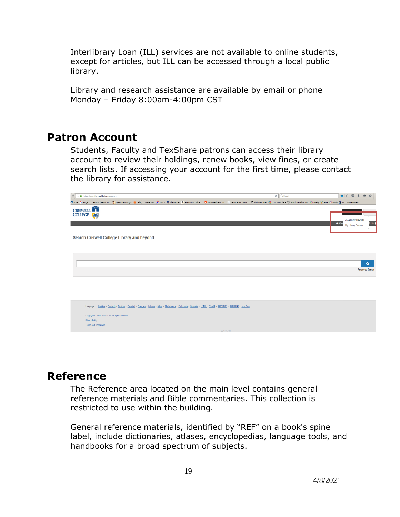Interlibrary Loan (ILL) services are not available to online students, except for articles, but ILL can be accessed through a local public library.

Library and research assistance are available by email or phone Monday – Friday 8:00am-4:00pm CST

# **Patron Account**

Students, Faculty and TexShare patrons can access their library account to review their holdings, renew books, view fines, or create search lists. If accessing your account for the first time, please contact the library for assistance.

|                 | $C^t$ Q Search<br>https://criswel.on.worldcat.org/discovery                                                                                                                                                      |               | ★自 ◎ → 合               | $\Theta$               |  |
|-----------------|------------------------------------------------------------------------------------------------------------------------------------------------------------------------------------------------------------------|---------------|------------------------|------------------------|--|
| C Home G Google | Paycom   Payrol & H. (   QuestorPoint Logon ● Dalles, TX Interactive ア TxDOT 某 Albert Notive & amazon.com Online S ● Associated Baptist Pr   Baptist Press - News    Baddoord Learn @ OCLC WorldShare 5 Search c |               |                        |                        |  |
| <b>CRISWELL</b> |                                                                                                                                                                                                                  |               |                        |                        |  |
| <b>COLLEGE</b>  |                                                                                                                                                                                                                  |               |                        |                        |  |
|                 |                                                                                                                                                                                                                  | $\bullet$ Cha | A-Z List for ejournals | ly List                |  |
|                 |                                                                                                                                                                                                                  |               | My Library Account     |                        |  |
|                 |                                                                                                                                                                                                                  |               |                        |                        |  |
|                 | Search Criswell College Library and beyond.                                                                                                                                                                      |               |                        |                        |  |
|                 |                                                                                                                                                                                                                  |               |                        |                        |  |
|                 |                                                                                                                                                                                                                  |               |                        |                        |  |
|                 |                                                                                                                                                                                                                  |               |                        |                        |  |
|                 |                                                                                                                                                                                                                  |               |                        | Q                      |  |
|                 |                                                                                                                                                                                                                  |               |                        | <b>Advanced Search</b> |  |
|                 |                                                                                                                                                                                                                  |               |                        |                        |  |
|                 |                                                                                                                                                                                                                  |               |                        |                        |  |
|                 |                                                                                                                                                                                                                  |               |                        |                        |  |
|                 |                                                                                                                                                                                                                  |               |                        |                        |  |
|                 |                                                                                                                                                                                                                  |               |                        |                        |  |
|                 | Language: Čeština · Deutsch · English · Español · Francais · Italiano · Máori · Nederlands · Português · Svenska · 日本語 · 한국어 · 中文(簡体) · 中文(簡略) · antrilling                                                      |               |                        |                        |  |
|                 | Copyright @ 2001-2016 OCLC.All rights reserved.                                                                                                                                                                  |               |                        |                        |  |
|                 | Privacy Policy                                                                                                                                                                                                   |               |                        |                        |  |
|                 | Terms and Conditions                                                                                                                                                                                             |               |                        |                        |  |
|                 | REL-1.170.0-82                                                                                                                                                                                                   |               |                        |                        |  |

# **Reference**

The Reference area located on the main level contains general reference materials and Bible commentaries. This collection is restricted to use within the building.

General reference materials, identified by "REF" on a book's spine label, include dictionaries, atlases, encyclopedias, language tools, and handbooks for a broad spectrum of subjects.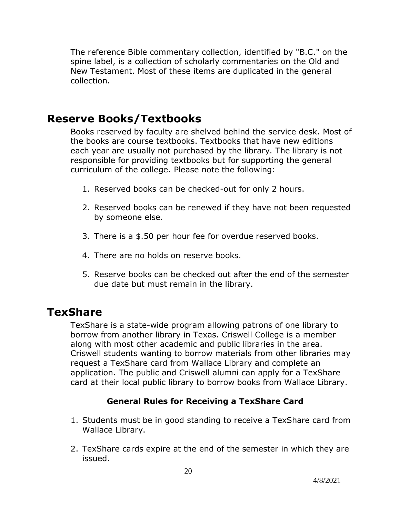The reference Bible commentary collection, identified by "B.C." on the spine label, is a collection of scholarly commentaries on the Old and New Testament. Most of these items are duplicated in the general collection.

# **Reserve Books/Textbooks**

Books reserved by faculty are shelved behind the service desk. Most of the books are course textbooks. Textbooks that have new editions each year are usually not purchased by the library. The library is not responsible for providing textbooks but for supporting the general curriculum of the college. Please note the following:

- 1. Reserved books can be checked-out for only 2 hours.
- 2. Reserved books can be renewed if they have not been requested by someone else.
- 3. There is a \$.50 per hour fee for overdue reserved books.
- 4. There are no holds on reserve books.
- 5. Reserve books can be checked out after the end of the semester due date but must remain in the library.

# **TexShare**

TexShare is a state-wide program allowing patrons of one library to borrow from another library in Texas. Criswell College is a member along with most other academic and public libraries in the area. Criswell students wanting to borrow materials from other libraries may request a TexShare card from Wallace Library and complete an application. The public and Criswell alumni can apply for a TexShare card at their local public library to borrow books from Wallace Library.

#### **General Rules for Receiving a TexShare Card**

- 1. Students must be in good standing to receive a TexShare card from Wallace Library.
- 2. TexShare cards expire at the end of the semester in which they are issued.